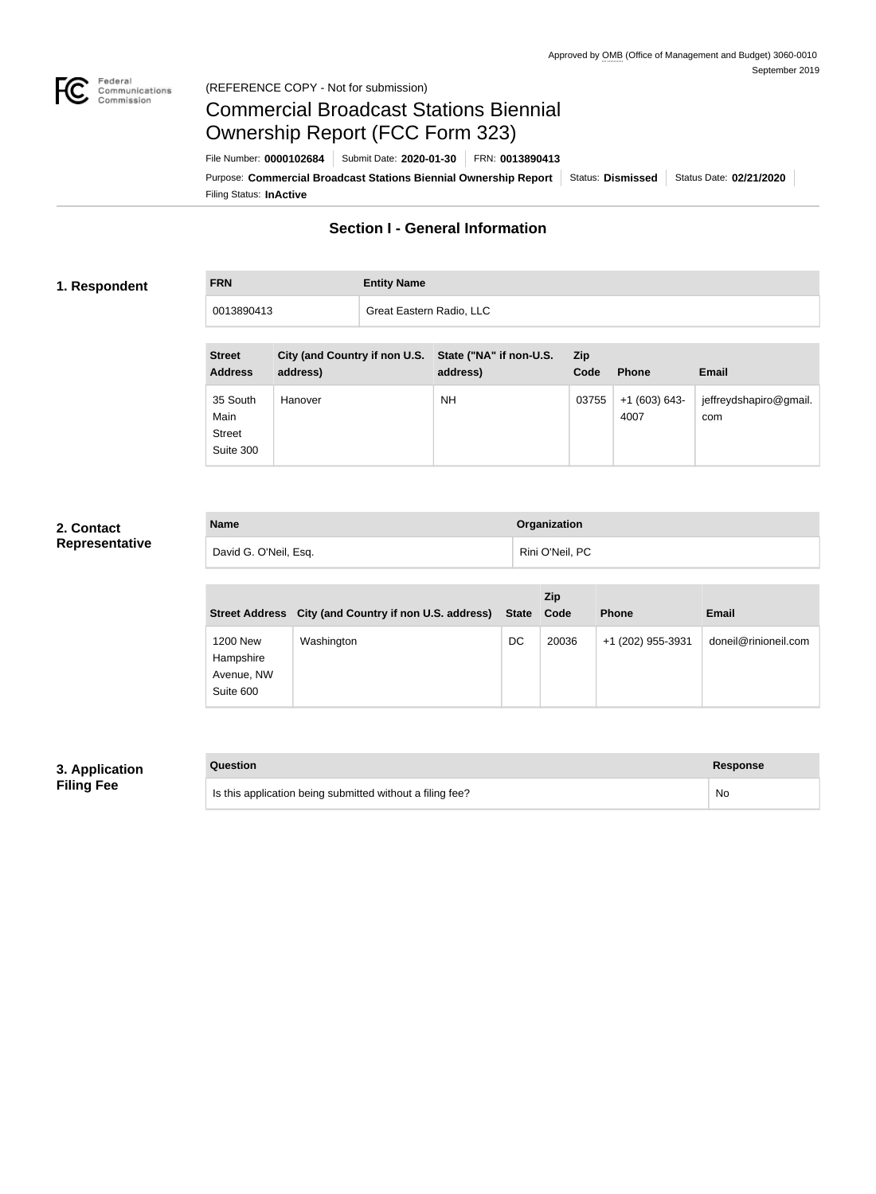

### Federal<br>Communications<br>Commission (REFERENCE COPY - Not for submission)

# Commercial Broadcast Stations Biennial Ownership Report (FCC Form 323)

Filing Status: **InActive** Purpose: Commercial Broadcast Stations Biennial Ownership Report Status: Dismissed Status Date: 02/21/2020 File Number: **0000102684** Submit Date: **2020-01-30** FRN: **0013890413**

### **Section I - General Information**

### **1. Respondent**

**FRN Entity Name**

0013890413 Great Eastern Radio, LLC

| <b>Street</b><br><b>Address</b>                | <b>City (and Country if non U.S.</b><br>address) | State ("NA" if non-U.S.<br>address) | <b>Zip</b><br>Code | <b>Phone</b>          | <b>Email</b>                  |
|------------------------------------------------|--------------------------------------------------|-------------------------------------|--------------------|-----------------------|-------------------------------|
| 35 South<br>Main<br><b>Street</b><br>Suite 300 | Hanover                                          | NΗ                                  | 03755              | $+1(603)643-$<br>4007 | jeffreydshapiro@gmail.<br>com |

### **2. Contact Representative**

| <b>Name</b>           | <b>Organization</b> |
|-----------------------|---------------------|
| David G. O'Neil, Esq. | Rini O'Neil, PC     |

| <b>Street Address</b>                            | City (and Country if non U.S. address) | <b>State</b> | <b>Zip</b><br>Code | <b>Phone</b>      | <b>Email</b>         |
|--------------------------------------------------|----------------------------------------|--------------|--------------------|-------------------|----------------------|
| 1200 New<br>Hampshire<br>Avenue, NW<br>Suite 600 | Washington                             | DC           | 20036              | +1 (202) 955-3931 | doneil@rinioneil.com |

### **3. Application Filing Fee**

| Question | <b>Response</b> |
|----------|-----------------|
|----------|-----------------|

| Is this application being submitted without a filing fee? | No |
|-----------------------------------------------------------|----|
|                                                           |    |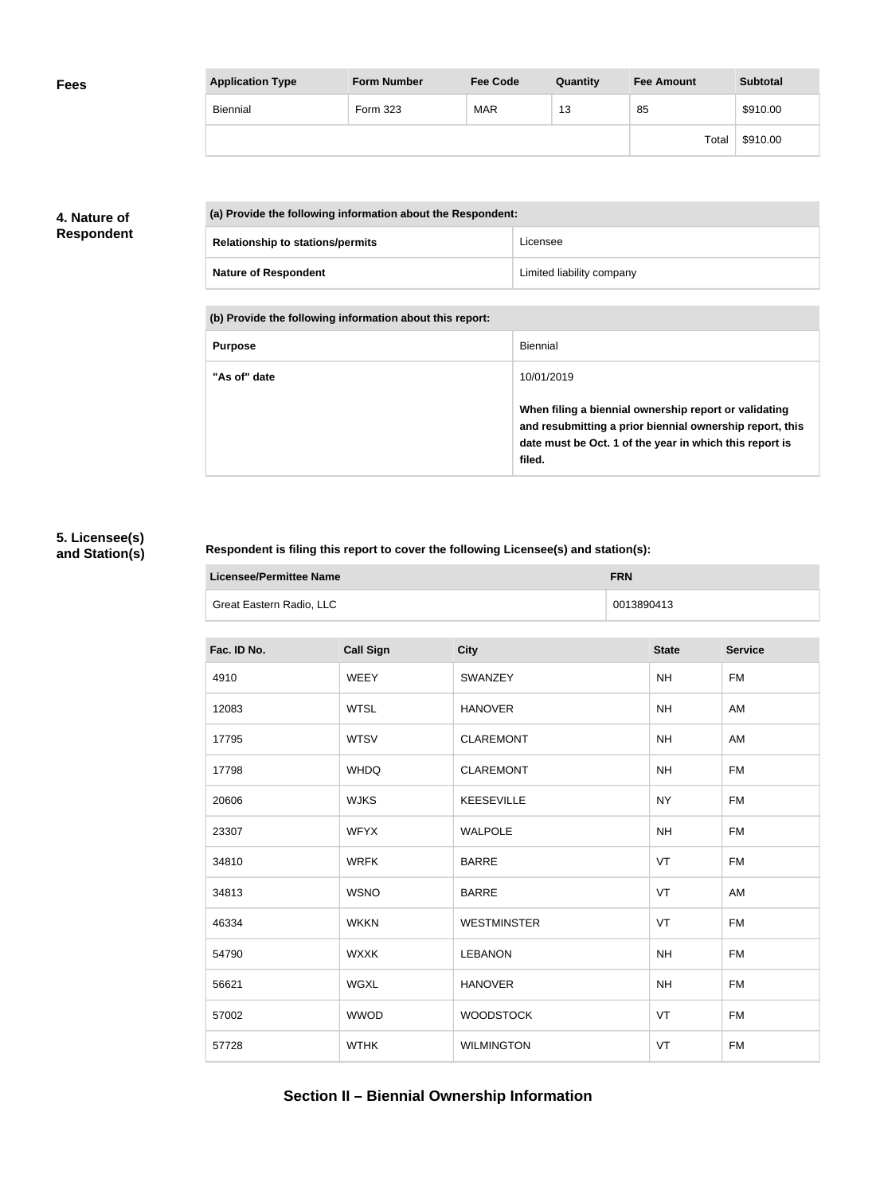| <b>Fees</b> | <b>Application Type</b> | <b>Form Number</b> | <b>Fee Code</b> | Quantity | <b>Fee Amount</b> | <b>Subtotal</b> |
|-------------|-------------------------|--------------------|-----------------|----------|-------------------|-----------------|
|             | Biennial                | Form 323           | <b>MAR</b>      | 13       | 85                | \$910.00        |
|             |                         |                    |                 |          | Total             | \$910.00        |

### **4. Nature of Respondent**

| (a) Provide the following information about the Respondent: |                           |  |  |
|-------------------------------------------------------------|---------------------------|--|--|
| <b>Relationship to stations/permits</b>                     | Licensee                  |  |  |
| <b>Nature of Respondent</b>                                 | Limited liability company |  |  |

**(b) Provide the following information about this report:**

| <b>Purpose</b> | Biennial                                                                                                                                                                               |
|----------------|----------------------------------------------------------------------------------------------------------------------------------------------------------------------------------------|
| "As of" date   | 10/01/2019                                                                                                                                                                             |
|                | When filing a biennial ownership report or validating<br>and resubmitting a prior biennial ownership report, this<br>date must be Oct. 1 of the year in which this report is<br>filed. |

### **5. Licensee(s) and Station(s)**

г

### **Respondent is filing this report to cover the following Licensee(s) and station(s):**

| Licensee/Permittee Name  | <b>FRN</b> |
|--------------------------|------------|
| Great Eastern Radio, LLC | 0013890413 |

| Fac. ID No. | <b>Call Sign</b> | <b>City</b>        | <b>State</b> | <b>Service</b> |
|-------------|------------------|--------------------|--------------|----------------|
| 4910        | WEEY             | SWANZEY            | <b>NH</b>    | <b>FM</b>      |
| 12083       | <b>WTSL</b>      | <b>HANOVER</b>     | <b>NH</b>    | AM             |
| 17795       | <b>WTSV</b>      | <b>CLAREMONT</b>   | <b>NH</b>    | AM             |
| 17798       | <b>WHDQ</b>      | <b>CLAREMONT</b>   | <b>NH</b>    | <b>FM</b>      |
| 20606       | <b>WJKS</b>      | <b>KEESEVILLE</b>  | <b>NY</b>    | <b>FM</b>      |
| 23307       | <b>WFYX</b>      | <b>WALPOLE</b>     | <b>NH</b>    | <b>FM</b>      |
| 34810       | <b>WRFK</b>      | <b>BARRE</b>       | VT           | <b>FM</b>      |
| 34813       | <b>WSNO</b>      | <b>BARRE</b>       | VT           | AM             |
| 46334       | <b>WKKN</b>      | <b>WESTMINSTER</b> | VT           | <b>FM</b>      |
| 54790       | <b>WXXK</b>      | <b>LEBANON</b>     | <b>NH</b>    | <b>FM</b>      |
| 56621       | WGXL             | <b>HANOVER</b>     | <b>NH</b>    | <b>FM</b>      |
| 57002       | <b>WWOD</b>      | <b>WOODSTOCK</b>   | VT           | <b>FM</b>      |
| 57728       | <b>WTHK</b>      | <b>WILMINGTON</b>  | VT           | <b>FM</b>      |

## **Section II – Biennial Ownership Information**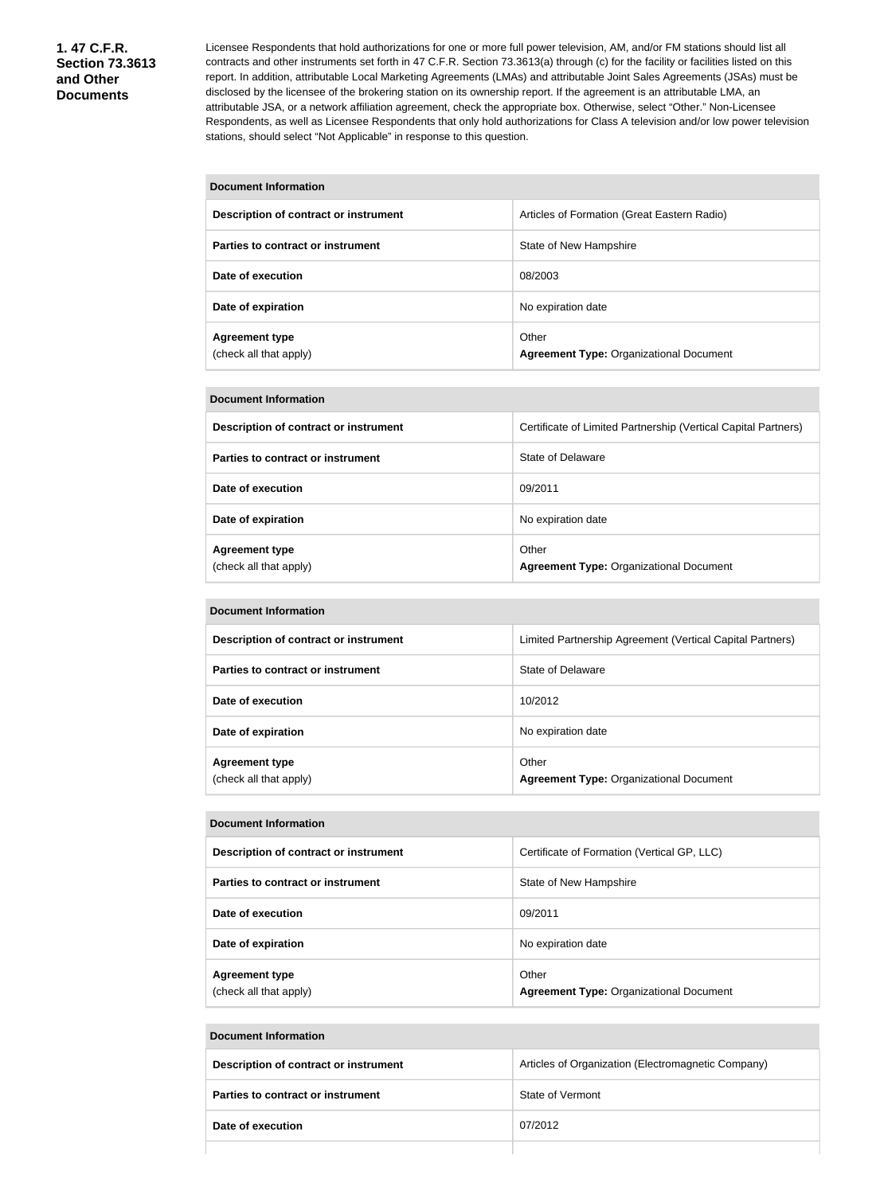Licensee Respondents that hold authorizations for one or more full power television, AM, and/or FM stations should list all contracts and other instruments set forth in 47 C.F.R. Section 73.3613(a) through (c) for the facility or facilities listed on this report. In addition, attributable Local Marketing Agreements (LMAs) and attributable Joint Sales Agreements (JSAs) must be disclosed by the licensee of the brokering station on its ownership report. If the agreement is an attributable LMA, an attributable JSA, or a network affiliation agreement, check the appropriate box. Otherwise, select "Other." Non-Licensee Respondents, as well as Licensee Respondents that only hold authorizations for Class A television and/or low power television stations, should select "Not Applicable" in response to this question.

| <b>Document Information</b>                     |                                                         |  |
|-------------------------------------------------|---------------------------------------------------------|--|
| Description of contract or instrument           | Articles of Formation (Great Eastern Radio)             |  |
| Parties to contract or instrument               | State of New Hampshire                                  |  |
| Date of execution                               | 08/2003                                                 |  |
| Date of expiration                              | No expiration date                                      |  |
| <b>Agreement type</b><br>(check all that apply) | Other<br><b>Agreement Type: Organizational Document</b> |  |

#### **Document Information**

| Description of contract or instrument           | Certificate of Limited Partnership (Vertical Capital Partners) |
|-------------------------------------------------|----------------------------------------------------------------|
| Parties to contract or instrument               | State of Delaware                                              |
| Date of execution                               | 09/2011                                                        |
| Date of expiration                              | No expiration date                                             |
| <b>Agreement type</b><br>(check all that apply) | Other<br><b>Agreement Type: Organizational Document</b>        |

| <b>Document Information</b>                     |                                                           |  |  |
|-------------------------------------------------|-----------------------------------------------------------|--|--|
| Description of contract or instrument           | Limited Partnership Agreement (Vertical Capital Partners) |  |  |
| Parties to contract or instrument               | State of Delaware                                         |  |  |
| Date of execution                               | 10/2012                                                   |  |  |
| Date of expiration                              | No expiration date                                        |  |  |
| <b>Agreement type</b><br>(check all that apply) | Other<br><b>Agreement Type: Organizational Document</b>   |  |  |

| <b>Document Information</b>                     |                                                         |  |  |
|-------------------------------------------------|---------------------------------------------------------|--|--|
| Description of contract or instrument           | Certificate of Formation (Vertical GP, LLC)             |  |  |
| Parties to contract or instrument               | State of New Hampshire                                  |  |  |
| Date of execution                               | 09/2011                                                 |  |  |
| Date of expiration                              | No expiration date                                      |  |  |
| <b>Agreement type</b><br>(check all that apply) | Other<br><b>Agreement Type: Organizational Document</b> |  |  |

# **Document Information Description of contract or instrument Articles of Organization (Electromagnetic Company) Parties to contract or instrument** State of Vermont **Date of execution** 07/2012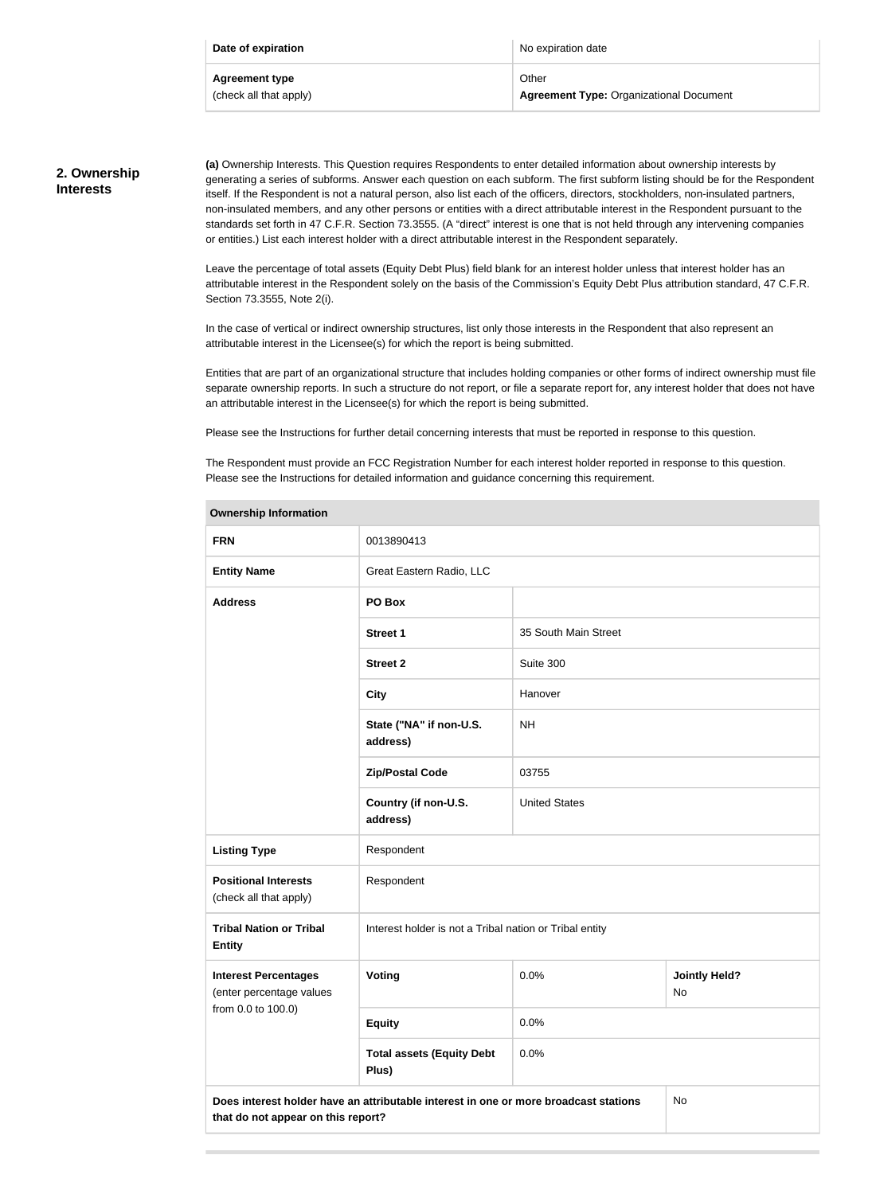| Date of expiration     | No expiration date                             |
|------------------------|------------------------------------------------|
| Agreement type         | Other                                          |
| (check all that apply) | <b>Agreement Type: Organizational Document</b> |

### **2. Ownership Interests**

**(a)** Ownership Interests. This Question requires Respondents to enter detailed information about ownership interests by generating a series of subforms. Answer each question on each subform. The first subform listing should be for the Respondent itself. If the Respondent is not a natural person, also list each of the officers, directors, stockholders, non-insulated partners, non-insulated members, and any other persons or entities with a direct attributable interest in the Respondent pursuant to the standards set forth in 47 C.F.R. Section 73.3555. (A "direct" interest is one that is not held through any intervening companies or entities.) List each interest holder with a direct attributable interest in the Respondent separately.

Leave the percentage of total assets (Equity Debt Plus) field blank for an interest holder unless that interest holder has an attributable interest in the Respondent solely on the basis of the Commission's Equity Debt Plus attribution standard, 47 C.F.R. Section 73.3555, Note 2(i).

In the case of vertical or indirect ownership structures, list only those interests in the Respondent that also represent an attributable interest in the Licensee(s) for which the report is being submitted.

Entities that are part of an organizational structure that includes holding companies or other forms of indirect ownership must file separate ownership reports. In such a structure do not report, or file a separate report for, any interest holder that does not have an attributable interest in the Licensee(s) for which the report is being submitted.

Please see the Instructions for further detail concerning interests that must be reported in response to this question.

The Respondent must provide an FCC Registration Number for each interest holder reported in response to this question. Please see the Instructions for detailed information and guidance concerning this requirement.

| <b>Ownership Information</b>                            |                                                                                      |                      |                            |
|---------------------------------------------------------|--------------------------------------------------------------------------------------|----------------------|----------------------------|
| <b>FRN</b>                                              | 0013890413                                                                           |                      |                            |
| <b>Entity Name</b>                                      | Great Eastern Radio, LLC                                                             |                      |                            |
| <b>Address</b>                                          | PO Box                                                                               |                      |                            |
|                                                         | <b>Street 1</b>                                                                      | 35 South Main Street |                            |
|                                                         | <b>Street 2</b>                                                                      | Suite 300            |                            |
|                                                         | <b>City</b>                                                                          | Hanover              |                            |
|                                                         | State ("NA" if non-U.S.<br>address)                                                  | <b>NH</b>            |                            |
|                                                         | <b>Zip/Postal Code</b>                                                               | 03755                |                            |
|                                                         | Country (if non-U.S.<br>address)                                                     | <b>United States</b> |                            |
| <b>Listing Type</b>                                     | Respondent                                                                           |                      |                            |
| <b>Positional Interests</b><br>(check all that apply)   | Respondent                                                                           |                      |                            |
| <b>Tribal Nation or Tribal</b><br><b>Entity</b>         | Interest holder is not a Tribal nation or Tribal entity                              |                      |                            |
| <b>Interest Percentages</b><br>(enter percentage values | Voting                                                                               | 0.0%                 | <b>Jointly Held?</b><br>No |
| from 0.0 to 100.0)                                      | <b>Equity</b>                                                                        | 0.0%                 |                            |
|                                                         | <b>Total assets (Equity Debt</b><br>Plus)                                            | 0.0%                 |                            |
| that do not appear on this report?                      | Does interest holder have an attributable interest in one or more broadcast stations |                      | No                         |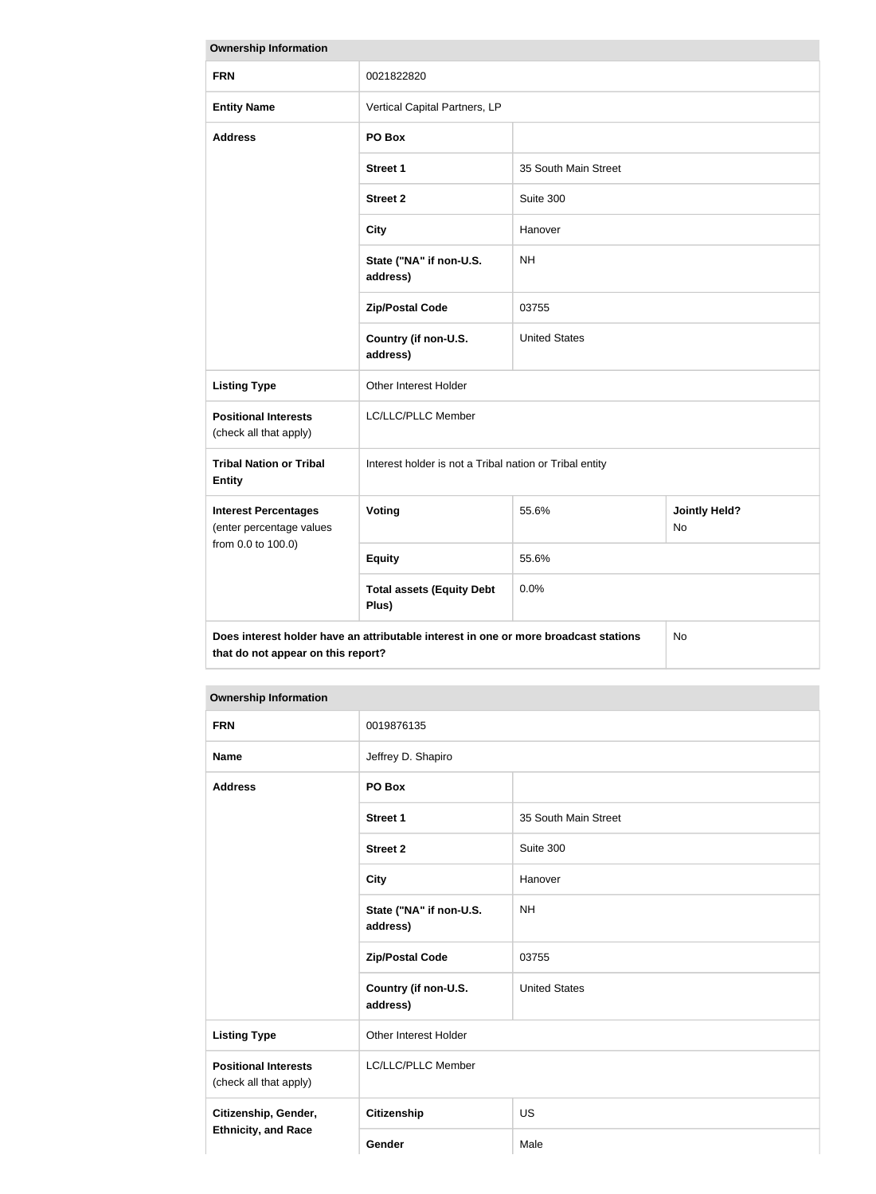| <b>Ownership Information</b>                                                                                                     |                                                         |                      |                            |
|----------------------------------------------------------------------------------------------------------------------------------|---------------------------------------------------------|----------------------|----------------------------|
| <b>FRN</b>                                                                                                                       | 0021822820                                              |                      |                            |
| <b>Entity Name</b>                                                                                                               | Vertical Capital Partners, LP                           |                      |                            |
| <b>Address</b>                                                                                                                   | PO Box                                                  |                      |                            |
|                                                                                                                                  | <b>Street 1</b>                                         | 35 South Main Street |                            |
|                                                                                                                                  | <b>Street 2</b>                                         | Suite 300            |                            |
|                                                                                                                                  | <b>City</b>                                             | Hanover              |                            |
|                                                                                                                                  | State ("NA" if non-U.S.<br>address)                     | <b>NH</b>            |                            |
|                                                                                                                                  | <b>Zip/Postal Code</b>                                  | 03755                |                            |
|                                                                                                                                  | Country (if non-U.S.<br>address)                        | <b>United States</b> |                            |
| <b>Listing Type</b>                                                                                                              | Other Interest Holder                                   |                      |                            |
| <b>Positional Interests</b><br>(check all that apply)                                                                            | LC/LLC/PLLC Member                                      |                      |                            |
| <b>Tribal Nation or Tribal</b><br><b>Entity</b>                                                                                  | Interest holder is not a Tribal nation or Tribal entity |                      |                            |
| <b>Interest Percentages</b><br>(enter percentage values                                                                          | Voting                                                  | 55.6%                | <b>Jointly Held?</b><br>No |
| from 0.0 to 100.0)                                                                                                               | <b>Equity</b>                                           | 55.6%                |                            |
|                                                                                                                                  | <b>Total assets (Equity Debt</b><br>Plus)               | 0.0%                 |                            |
| Does interest holder have an attributable interest in one or more broadcast stations<br>No<br>that do not appear on this report? |                                                         |                      |                            |

#### **Ownership Information**

| <b>FRN</b>                                            | 0019876135                          |                      |
|-------------------------------------------------------|-------------------------------------|----------------------|
| <b>Name</b>                                           | Jeffrey D. Shapiro                  |                      |
| <b>Address</b>                                        | PO Box                              |                      |
|                                                       | <b>Street 1</b>                     | 35 South Main Street |
|                                                       | <b>Street 2</b>                     | Suite 300            |
|                                                       | <b>City</b>                         | Hanover              |
|                                                       | State ("NA" if non-U.S.<br>address) | <b>NH</b>            |
|                                                       | <b>Zip/Postal Code</b>              | 03755                |
|                                                       | Country (if non-U.S.<br>address)    | <b>United States</b> |
| <b>Listing Type</b>                                   | Other Interest Holder               |                      |
| <b>Positional Interests</b><br>(check all that apply) | LC/LLC/PLLC Member                  |                      |
| Citizenship, Gender,                                  | <b>Citizenship</b>                  | <b>US</b>            |
| <b>Ethnicity, and Race</b>                            | Gender                              | Male                 |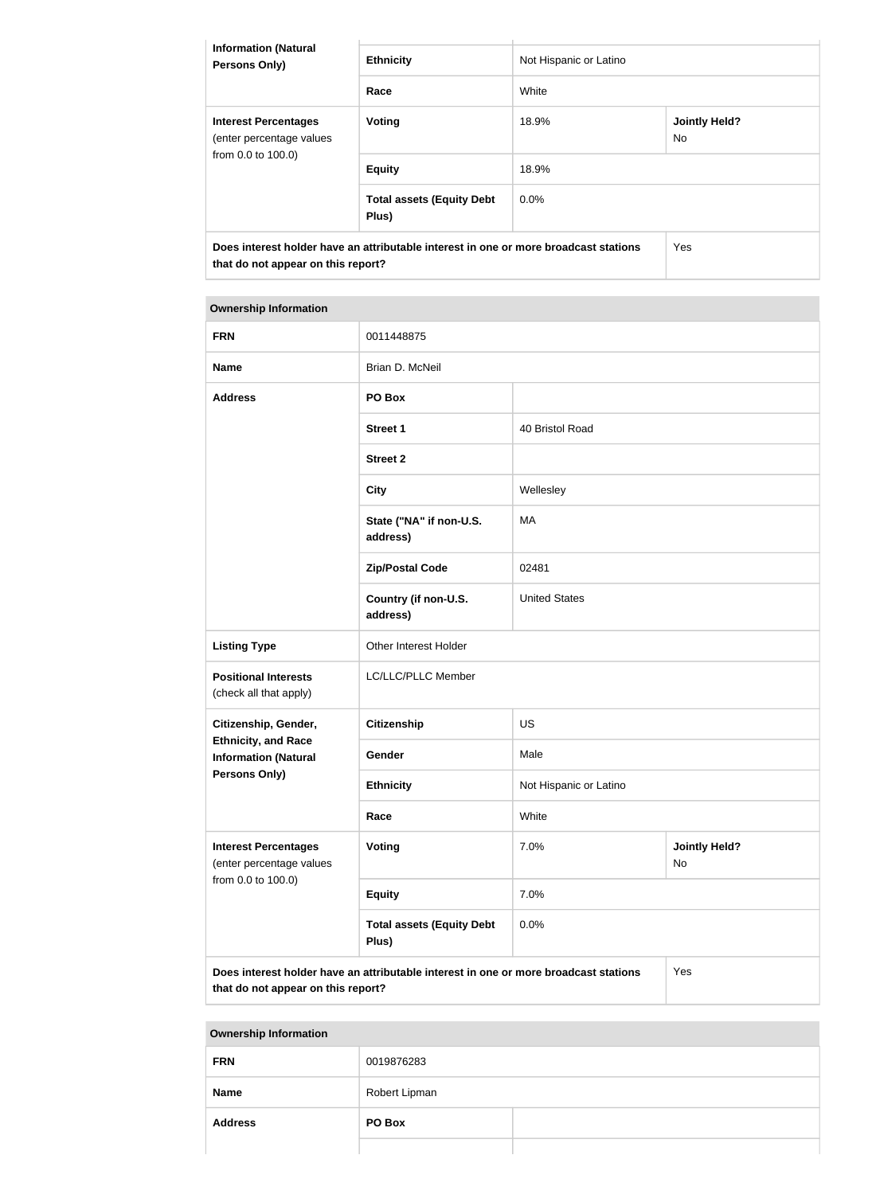| <b>Information (Natural</b><br><b>Persons Only)</b>                                                                        | <b>Ethnicity</b>                          | Not Hispanic or Latino |                             |
|----------------------------------------------------------------------------------------------------------------------------|-------------------------------------------|------------------------|-----------------------------|
|                                                                                                                            | Race                                      | White                  |                             |
| <b>Interest Percentages</b><br>(enter percentage values<br>from 0.0 to 100.0)                                              | Voting                                    | 18.9%                  | <b>Jointly Held?</b><br>No. |
|                                                                                                                            | <b>Equity</b>                             | 18.9%                  |                             |
|                                                                                                                            | <b>Total assets (Equity Debt</b><br>Plus) | $0.0\%$                |                             |
| Does interest holder have an attributable interest in one or more broadcast stations<br>that do not appear on this report? |                                           | Yes                    |                             |

| <b>Ownership Information</b> |  |
|------------------------------|--|
|------------------------------|--|

**The State** 

| <b>FRN</b>                                                                    | 0011448875                                                                           |                                    |     |  |
|-------------------------------------------------------------------------------|--------------------------------------------------------------------------------------|------------------------------------|-----|--|
| <b>Name</b>                                                                   | Brian D. McNeil                                                                      |                                    |     |  |
| <b>Address</b>                                                                | PO Box                                                                               |                                    |     |  |
|                                                                               | <b>Street 1</b>                                                                      | 40 Bristol Road                    |     |  |
|                                                                               | <b>Street 2</b>                                                                      |                                    |     |  |
|                                                                               | <b>City</b>                                                                          | Wellesley                          |     |  |
|                                                                               | State ("NA" if non-U.S.<br>address)                                                  | <b>MA</b>                          |     |  |
|                                                                               | <b>Zip/Postal Code</b>                                                               | 02481                              |     |  |
|                                                                               | Country (if non-U.S.<br>address)                                                     | <b>United States</b>               |     |  |
| <b>Listing Type</b>                                                           | Other Interest Holder                                                                |                                    |     |  |
| <b>Positional Interests</b><br>(check all that apply)                         | LC/LLC/PLLC Member                                                                   |                                    |     |  |
| Citizenship, Gender,                                                          | <b>Citizenship</b>                                                                   | <b>US</b>                          |     |  |
| <b>Ethnicity, and Race</b><br><b>Information (Natural</b>                     | Gender                                                                               | Male                               |     |  |
| Persons Only)                                                                 | <b>Ethnicity</b>                                                                     | Not Hispanic or Latino             |     |  |
|                                                                               | Race                                                                                 | White                              |     |  |
| <b>Interest Percentages</b><br>(enter percentage values<br>from 0.0 to 100.0) | Voting                                                                               | 7.0%<br><b>Jointly Held?</b><br>No |     |  |
|                                                                               | <b>Equity</b>                                                                        | 7.0%                               |     |  |
|                                                                               | <b>Total assets (Equity Debt</b><br>Plus)                                            | 0.0%                               |     |  |
| that do not appear on this report?                                            | Does interest holder have an attributable interest in one or more broadcast stations |                                    | Yes |  |

**Ownership Information**

| <b>FRN</b>     | 0019876283    |  |
|----------------|---------------|--|
| <b>Name</b>    | Robert Lipman |  |
| <b>Address</b> | PO Box        |  |
|                |               |  |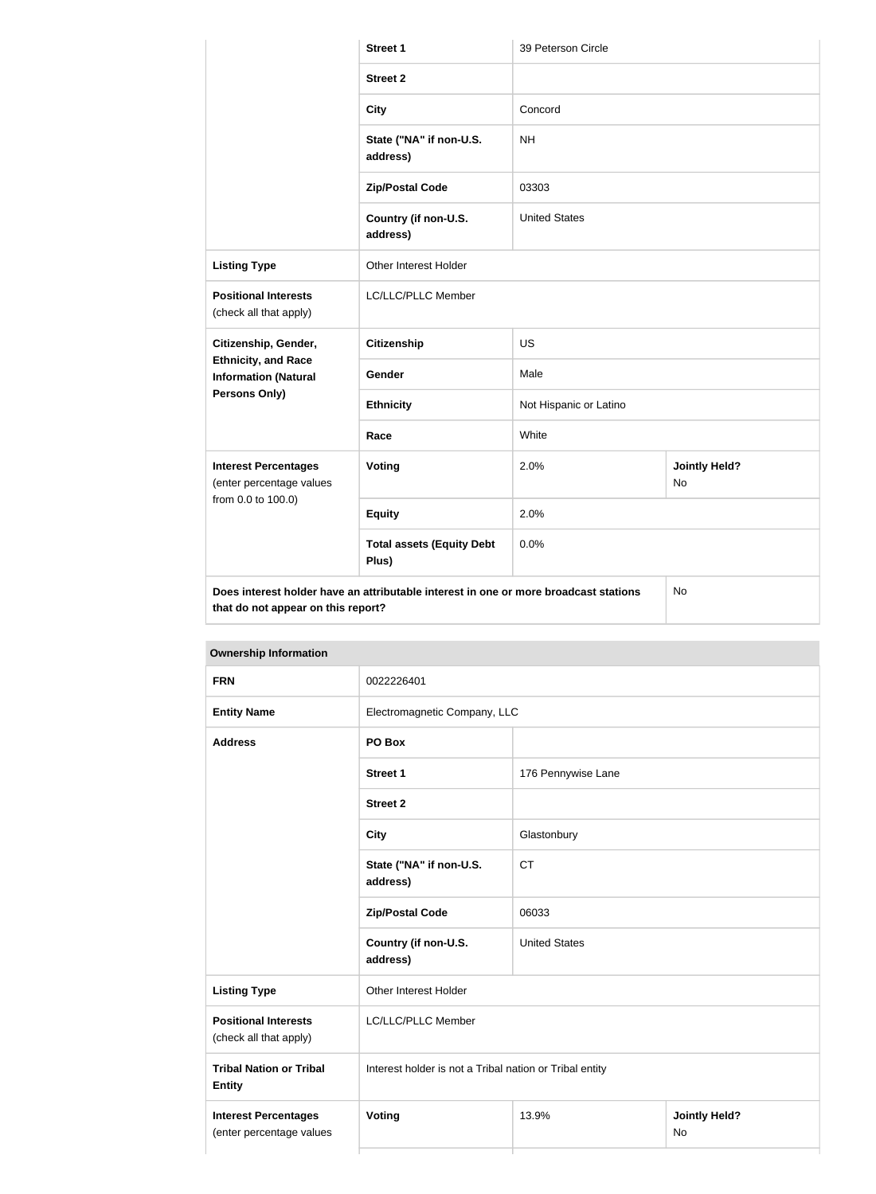|                                                                               | <b>Street 1</b>                                                                      | 39 Peterson Circle     |                            |
|-------------------------------------------------------------------------------|--------------------------------------------------------------------------------------|------------------------|----------------------------|
|                                                                               | <b>Street 2</b>                                                                      |                        |                            |
|                                                                               | <b>City</b>                                                                          | Concord                |                            |
|                                                                               | State ("NA" if non-U.S.<br>address)                                                  | <b>NH</b>              |                            |
|                                                                               | <b>Zip/Postal Code</b>                                                               | 03303                  |                            |
|                                                                               | Country (if non-U.S.<br>address)                                                     | <b>United States</b>   |                            |
| <b>Listing Type</b>                                                           | Other Interest Holder                                                                |                        |                            |
| <b>Positional Interests</b><br>(check all that apply)                         | LC/LLC/PLLC Member                                                                   |                        |                            |
| Citizenship, Gender,                                                          | <b>Citizenship</b>                                                                   | <b>US</b>              |                            |
| <b>Ethnicity, and Race</b><br><b>Information (Natural</b>                     | Gender                                                                               | Male                   |                            |
| <b>Persons Only)</b>                                                          | <b>Ethnicity</b>                                                                     | Not Hispanic or Latino |                            |
|                                                                               | Race                                                                                 | White                  |                            |
| <b>Interest Percentages</b><br>(enter percentage values<br>from 0.0 to 100.0) | Voting                                                                               | 2.0%                   | <b>Jointly Held?</b><br>No |
|                                                                               | <b>Equity</b>                                                                        | 2.0%                   |                            |
|                                                                               | <b>Total assets (Equity Debt</b><br>Plus)                                            | 0.0%                   |                            |
| that do not appear on this report?                                            | Does interest holder have an attributable interest in one or more broadcast stations |                        | No                         |

**Ownership Information**

| <b>FRN</b>                                              | 0022226401                                              |                      |  |  |
|---------------------------------------------------------|---------------------------------------------------------|----------------------|--|--|
| <b>Entity Name</b>                                      | Electromagnetic Company, LLC                            |                      |  |  |
| <b>Address</b>                                          | PO Box                                                  |                      |  |  |
|                                                         | <b>Street 1</b>                                         | 176 Pennywise Lane   |  |  |
|                                                         | <b>Street 2</b>                                         |                      |  |  |
|                                                         | <b>City</b>                                             | Glastonbury          |  |  |
|                                                         | State ("NA" if non-U.S.<br>address)                     | <b>CT</b>            |  |  |
|                                                         | <b>Zip/Postal Code</b>                                  | 06033                |  |  |
|                                                         | Country (if non-U.S.<br>address)                        | <b>United States</b> |  |  |
| <b>Listing Type</b>                                     | Other Interest Holder                                   |                      |  |  |
| <b>Positional Interests</b><br>(check all that apply)   | LC/LLC/PLLC Member                                      |                      |  |  |
| <b>Tribal Nation or Tribal</b><br><b>Entity</b>         | Interest holder is not a Tribal nation or Tribal entity |                      |  |  |
| <b>Interest Percentages</b><br>(enter percentage values | Voting<br>13.9%<br><b>Jointly Held?</b><br><b>No</b>    |                      |  |  |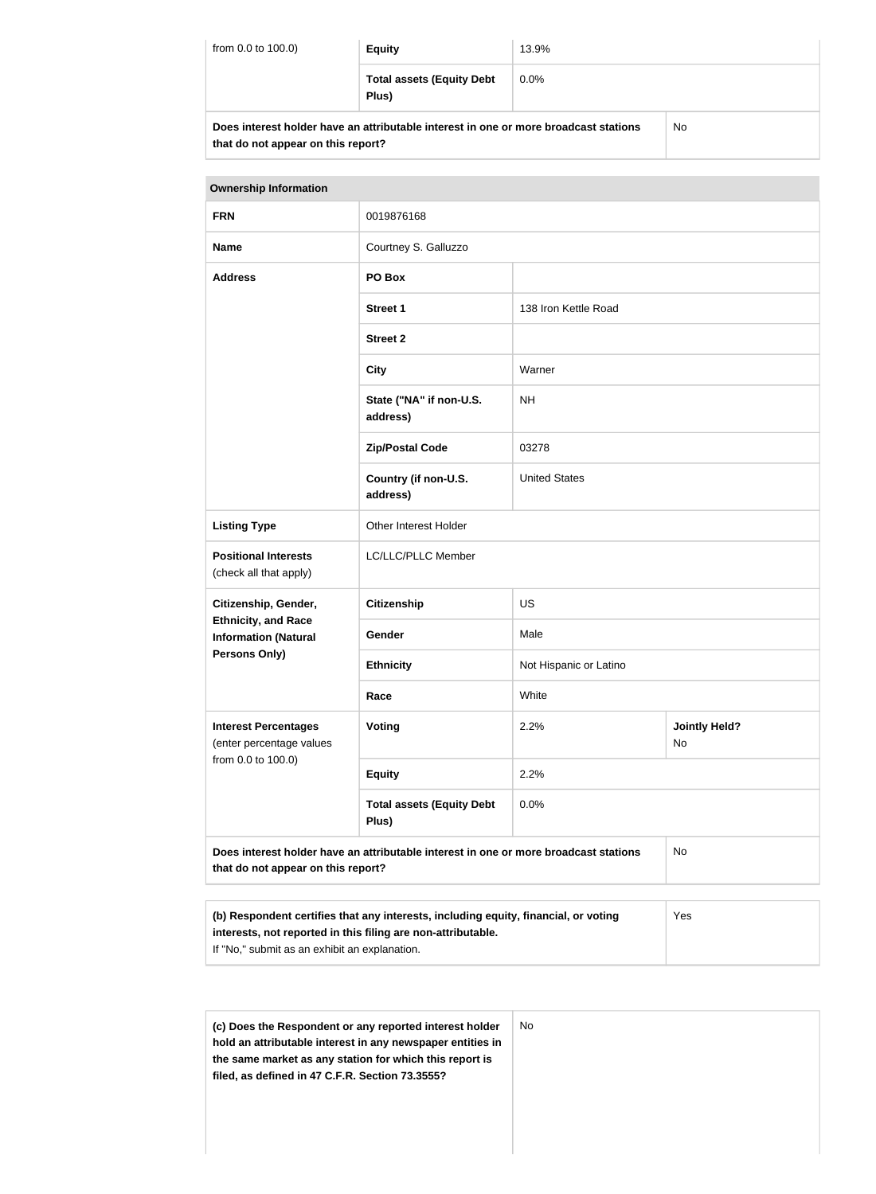| from 0.0 to 100.0)                                                                                                         | <b>Equity</b>                             | 13.9%   |           |
|----------------------------------------------------------------------------------------------------------------------------|-------------------------------------------|---------|-----------|
|                                                                                                                            | <b>Total assets (Equity Debt</b><br>Plus) | $0.0\%$ |           |
| Does interest holder have an attributable interest in one or more broadcast stations<br>that do not appear on this report? |                                           |         | <b>No</b> |

| <b>Ownership Information</b>                              |                                                                                      |                        |                            |
|-----------------------------------------------------------|--------------------------------------------------------------------------------------|------------------------|----------------------------|
| <b>FRN</b>                                                | 0019876168                                                                           |                        |                            |
| <b>Name</b>                                               | Courtney S. Galluzzo                                                                 |                        |                            |
| <b>Address</b>                                            | PO Box                                                                               |                        |                            |
|                                                           | <b>Street 1</b>                                                                      | 138 Iron Kettle Road   |                            |
|                                                           | <b>Street 2</b>                                                                      |                        |                            |
|                                                           | <b>City</b>                                                                          | Warner                 |                            |
|                                                           | State ("NA" if non-U.S.<br>address)                                                  | <b>NH</b>              |                            |
|                                                           | <b>Zip/Postal Code</b>                                                               | 03278                  |                            |
|                                                           | Country (if non-U.S.<br>address)                                                     | <b>United States</b>   |                            |
| <b>Listing Type</b>                                       | Other Interest Holder                                                                |                        |                            |
| <b>Positional Interests</b><br>(check all that apply)     | LC/LLC/PLLC Member                                                                   |                        |                            |
| Citizenship, Gender,                                      | <b>Citizenship</b>                                                                   | US                     |                            |
| <b>Ethnicity, and Race</b><br><b>Information (Natural</b> | Gender                                                                               | Male                   |                            |
| <b>Persons Only)</b>                                      | <b>Ethnicity</b>                                                                     | Not Hispanic or Latino |                            |
|                                                           | Race                                                                                 | White                  |                            |
| <b>Interest Percentages</b><br>(enter percentage values   | Voting                                                                               | 2.2%                   | <b>Jointly Held?</b><br>No |
| from 0.0 to 100.0)                                        | <b>Equity</b>                                                                        | 2.2%                   |                            |
|                                                           | <b>Total assets (Equity Debt</b><br>Plus)                                            | 0.0%                   |                            |
| that do not appear on this report?                        | Does interest holder have an attributable interest in one or more broadcast stations |                        | No                         |
|                                                           |                                                                                      |                        |                            |

| (b) Respondent certifies that any interests, including equity, financial, or voting | Yes |
|-------------------------------------------------------------------------------------|-----|
| interests, not reported in this filing are non-attributable.                        |     |
| If "No," submit as an exhibit an explanation.                                       |     |
|                                                                                     |     |

| (c) Does the Respondent or any reported interest holder    | No. |
|------------------------------------------------------------|-----|
| hold an attributable interest in any newspaper entities in |     |
| the same market as any station for which this report is    |     |
|                                                            |     |
| filed, as defined in 47 C.F.R. Section 73.3555?            |     |
|                                                            |     |
|                                                            |     |
|                                                            |     |
|                                                            |     |
|                                                            |     |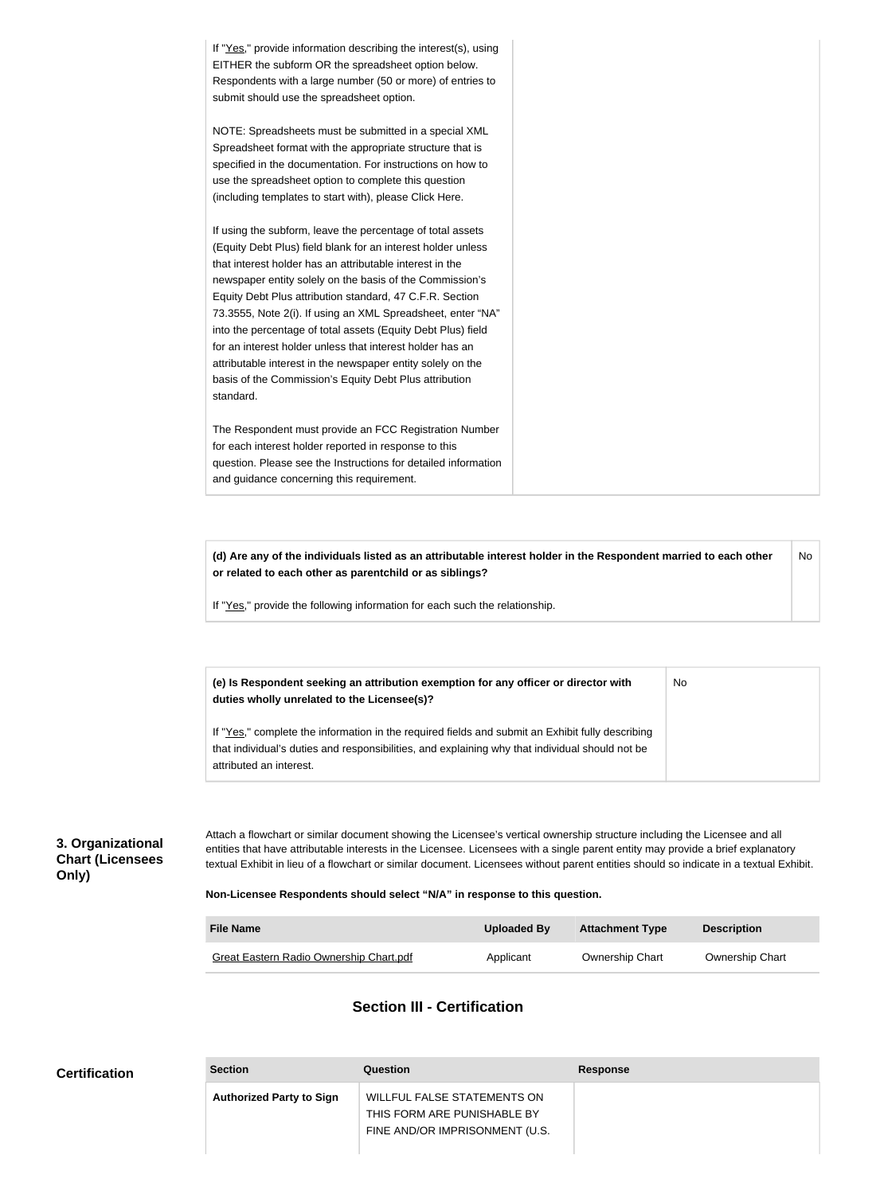If "Yes," provide information describing the interest(s), using EITHER the subform OR the spreadsheet option below. Respondents with a large number (50 or more) of entries to submit should use the spreadsheet option. NOTE: Spreadsheets must be submitted in a special XML Spreadsheet format with the appropriate structure that is specified in the documentation. For instructions on how to use the spreadsheet option to complete this question (including templates to start with), please Click Here. If using the subform, leave the percentage of total assets (Equity Debt Plus) field blank for an interest holder unless that interest holder has an attributable interest in the newspaper entity solely on the basis of the Commission's Equity Debt Plus attribution standard, 47 C.F.R. Section 73.3555, Note 2(i). If using an XML Spreadsheet, enter "NA" into the percentage of total assets (Equity Debt Plus) field for an interest holder unless that interest holder has an attributable interest in the newspaper entity solely on the basis of the Commission's Equity Debt Plus attribution standard. The Respondent must provide an FCC Registration Number for each interest holder reported in response to this question. Please see the Instructions for detailed information and guidance concerning this requirement.

**(d) Are any of the individuals listed as an attributable interest holder in the Respondent married to each other or related to each other as parentchild or as siblings?** No

If "Yes," provide the following information for each such the relationship.

**(e) Is Respondent seeking an attribution exemption for any officer or director with duties wholly unrelated to the Licensee(s)?** No

If "Yes," complete the information in the required fields and submit an Exhibit fully describing that individual's duties and responsibilities, and explaining why that individual should not be attributed an interest.

### **3. Organizational Chart (Licensees Only)**

Attach a flowchart or similar document showing the Licensee's vertical ownership structure including the Licensee and all entities that have attributable interests in the Licensee. Licensees with a single parent entity may provide a brief explanatory textual Exhibit in lieu of a flowchart or similar document. Licensees without parent entities should so indicate in a textual Exhibit.

#### **Non-Licensee Respondents should select "N/A" in response to this question.**

| <b>File Name</b>                               | Uploaded By | <b>Attachment Type</b> | <b>Description</b>     |
|------------------------------------------------|-------------|------------------------|------------------------|
| <b>Great Eastern Radio Ownership Chart.pdf</b> | Applicant   | <b>Ownership Chart</b> | <b>Ownership Chart</b> |

### **Section III - Certification**

| <b>Certification</b> | <b>Section</b>                  | Question                                                                                            | <b>Response</b> |
|----------------------|---------------------------------|-----------------------------------------------------------------------------------------------------|-----------------|
|                      | <b>Authorized Party to Sign</b> | <b>WILLFUL FALSE STATEMENTS ON</b><br>THIS FORM ARE PUNISHABLE BY<br>FINE AND/OR IMPRISONMENT (U.S. |                 |